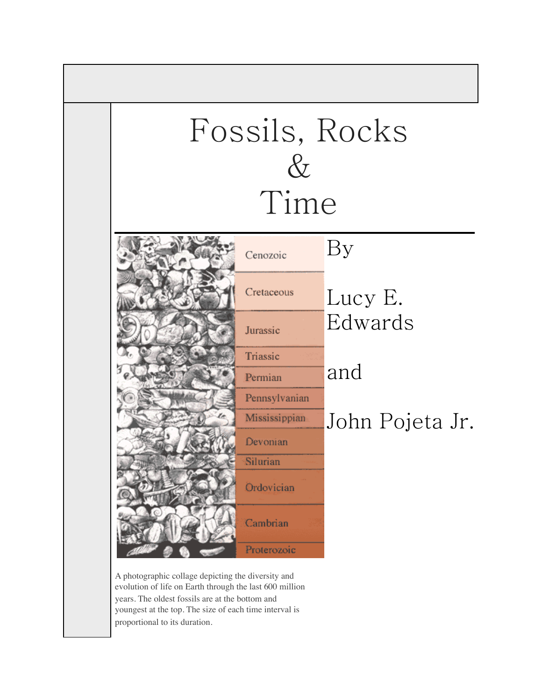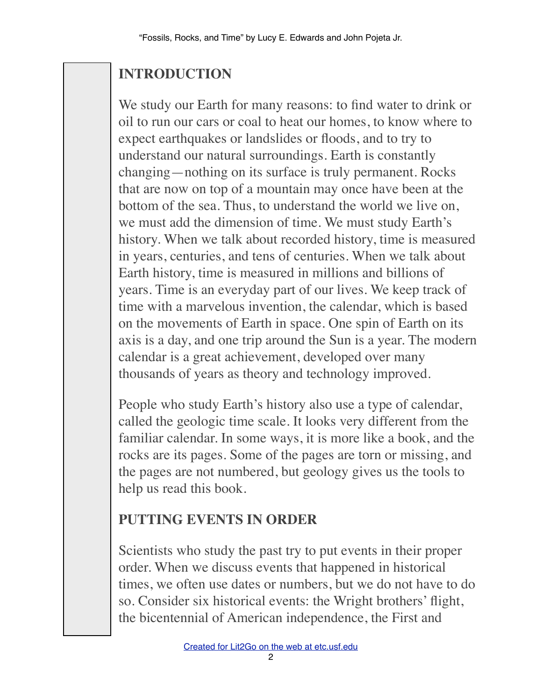# **INTRODUCTION**

We study our Earth for many reasons: to find water to drink or oil to run our cars or coal to heat our homes, to know where to expect earthquakes or landslides or floods, and to try to understand our natural surroundings. Earth is constantly changing—nothing on its surface is truly permanent. Rocks that are now on top of a mountain may once have been at the bottom of the sea. Thus, to understand the world we live on, we must add the dimension of time. We must study Earth's history. When we talk about recorded history, time is measured in years, centuries, and tens of centuries. When we talk about Earth history, time is measured in millions and billions of years. Time is an everyday part of our lives. We keep track of time with a marvelous invention, the calendar, which is based on the movements of Earth in space. One spin of Earth on its axis is a day, and one trip around the Sun is a year. The modern calendar is a great achievement, developed over many thousands of years as theory and technology improved.

People who study Earth's history also use a type of calendar, called the geologic time scale. It looks very different from the familiar calendar. In some ways, it is more like a book, and the rocks are its pages. Some of the pages are torn or missing, and the pages are not numbered, but geology gives us the tools to help us read this book.

## **PUTTING EVENTS IN ORDER**

Scientists who study the past try to put events in their proper order. When we discuss events that happened in historical times, we often use dates or numbers, but we do not have to do so. Consider six historical events: the Wright brothers' flight, the bicentennial of American independence, the First and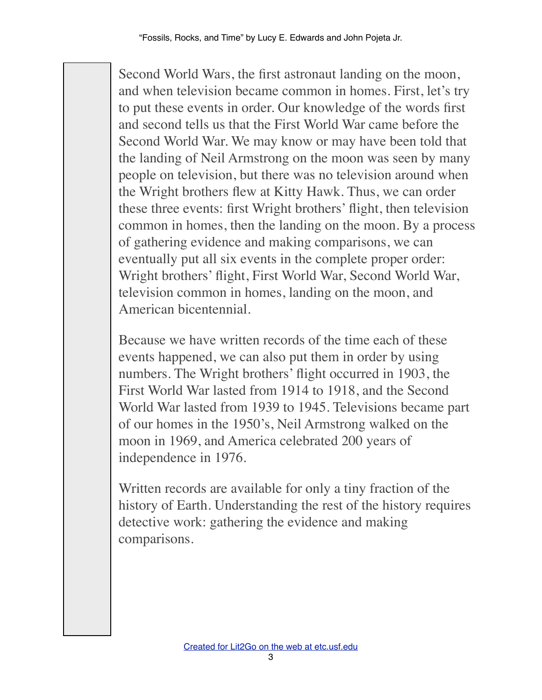Second World Wars, the first astronaut landing on the moon, and when television became common in homes. First, let's try to put these events in order. Our knowledge of the words first and second tells us that the First World War came before the Second World War. We may know or may have been told that the landing of Neil Armstrong on the moon was seen by many people on television, but there was no television around when the Wright brothers flew at Kitty Hawk. Thus, we can order these three events: first Wright brothers' flight, then television common in homes, then the landing on the moon. By a process of gathering evidence and making comparisons, we can eventually put all six events in the complete proper order: Wright brothers' flight, First World War, Second World War, television common in homes, landing on the moon, and American bicentennial.

Because we have written records of the time each of these events happened, we can also put them in order by using numbers. The Wright brothers' flight occurred in 1903, the First World War lasted from 1914 to 1918, and the Second World War lasted from 1939 to 1945. Televisions became part of our homes in the 1950's, Neil Armstrong walked on the moon in 1969, and America celebrated 200 years of independence in 1976.

Written records are available for only a tiny fraction of the history of Earth. Understanding the rest of the history requires detective work: gathering the evidence and making comparisons.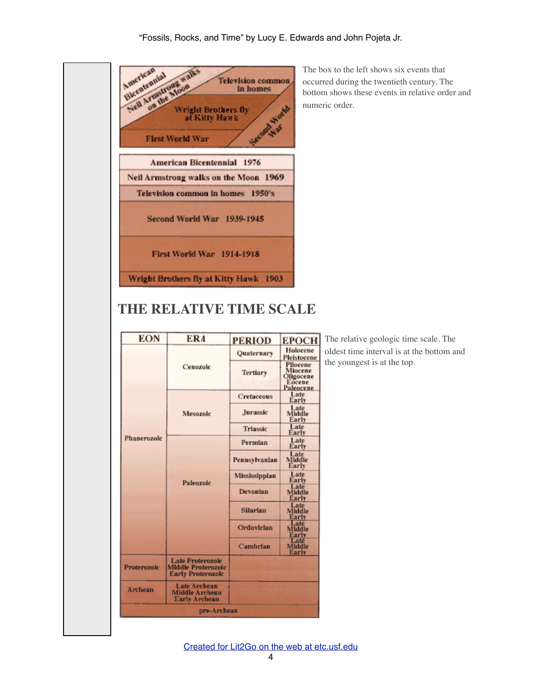

The box to the left shows six events that occurred during the twentieth century. The bottom shows these events in relative order and numeric order.

#### **THE RELATIVE TIME SCALE**

| <b>EON</b>         | <b>ERA</b>                                                                       | <b>PERIOD</b>        | <b>EPOCH</b>                                            |
|--------------------|----------------------------------------------------------------------------------|----------------------|---------------------------------------------------------|
| Phanerozolc        | Cenozolc                                                                         | <b>Quaternary</b>    | Holocene<br><b>Pleistocene</b>                          |
|                    |                                                                                  | <b>Tertiary</b>      | Pliocene<br>Miocene<br>Oligocene<br>Eocene<br>Paleocene |
|                    | Mesozole                                                                         | <b>Cretaceous</b>    | Late<br>Early                                           |
|                    |                                                                                  | Jurassic             | Late<br>Middle<br>Early                                 |
|                    |                                                                                  | Triassic             | Late<br>Early                                           |
|                    | Paleozolc                                                                        | Permian              | Late<br>Early                                           |
|                    |                                                                                  | Pennsylvanian        | Late<br>Middle<br>Early                                 |
|                    |                                                                                  | <b>Mississippian</b> | Late<br>Early                                           |
|                    |                                                                                  | <b>Devontan</b>      | Late<br>Middle<br>Early                                 |
|                    |                                                                                  | <b>Silurian</b>      | Late<br>Middle<br>Early                                 |
|                    |                                                                                  | Ordovician           | Late<br>Middle<br>Early                                 |
|                    |                                                                                  | Cambrian             | Late<br>Middle<br>Early                                 |
| <b>Proterozolc</b> | <b>Late Proterozoic</b><br><b>Middle Proterozoic</b><br><b>Early Proterozolc</b> |                      |                                                         |
| <b>Archean</b>     | <b>Late Archean</b><br><b>Middle Archean</b><br><b>Early Archean</b>             |                      |                                                         |
|                    | pre-Archean                                                                      |                      |                                                         |

The relative geologic time scale. The oldest time interval is at the bottom and the youngest is at the top.

[Created for Lit2Go on the web at etc.usf.edu](http://etc.usf.edu)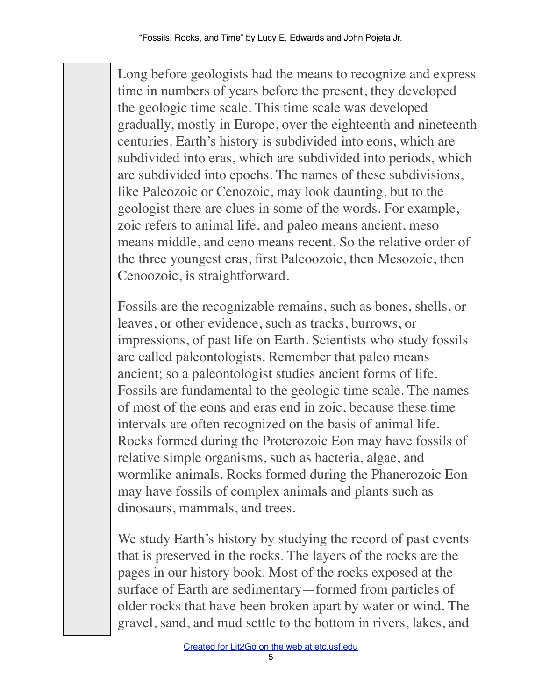Long before geologists had the means to recognize and express time in numbers of years before the present, they developed the geologic time scale. This time scale was developed gradually, mostly in Europe, over the eighteenth and nineteenth centuries. Earth's history is subdivided into eons, which are subdivided into eras, which are subdivided into periods, which are subdivided into epochs. The names of these subdivisions, like Paleozoic or Cenozoic, may look daunting, but to the geologist there are clues in some of the words. For example, zoic refers to animal life, and paleo means ancient, meso means middle, and ceno means recent. So the relative order of the three youngest eras, first Paleoozoic, then Mesozoic, then Cenoozoic, is straightforward.

Fossils are the recognizable remains, such as bones, shells, or leaves, or other evidence, such as tracks, burrows, or impressions, of past life on Earth. Scientists who study fossils are called paleontologists. Remember that paleo means ancient; so a paleontologist studies ancient forms of life. Fossils are fundamental to the geologic time scale. The names of most of the eons and eras end in zoic, because these time intervals are often recognized on the basis of animal life. Rocks formed during the Proterozoic Eon may have fossils of relative simple organisms, such as bacteria, algae, and wormlike animals. Rocks formed during the Phanerozoic Eon may have fossils of complex animals and plants such as dinosaurs, mammals, and trees.

We study Earth's history by studying the record of past events that is preserved in the rocks. The layers of the rocks are the pages in our history book. Most of the rocks exposed at the surface of Earth are sedimentary—formed from particles of older rocks that have been broken apart by water or wind. The gravel, sand, and mud settle to the bottom in rivers, lakes, and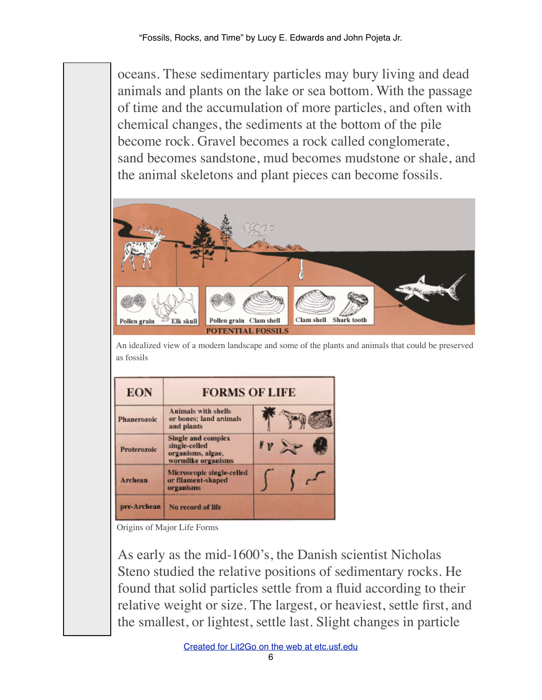oceans. These sedimentary particles may bury living and dead animals and plants on the lake or sea bottom. With the passage of time and the accumulation of more particles, and often with chemical changes, the sediments at the bottom of the pile become rock. Gravel becomes a rock called conglomerate, sand becomes sandstone, mud becomes mudstone or shale, and the animal skeletons and plant pieces can become fossils.



An idealized view of a modern landscape and some of the plants and animals that could be preserved as fossils

| <b>EON</b>         | <b>FORMS OF LIFE</b>                                                                  |   |  |
|--------------------|---------------------------------------------------------------------------------------|---|--|
| <b>Phanerozoic</b> | <b>Animals with shells</b><br>or bones; land animals<br>and plants                    |   |  |
| Proterozoic        | <b>Single and complex</b><br>single-celled<br>organisms, algae,<br>wormlike organisms | ' |  |
| Archean            | Microscopic single-celled<br>or filament-shaped<br>organisms                          |   |  |
| pre-Archean        | No record of life                                                                     |   |  |

Origins of Major Life Forms

As early as the mid-1600's, the Danish scientist Nicholas Steno studied the relative positions of sedimentary rocks. He found that solid particles settle from a fluid according to their relative weight or size. The largest, or heaviest, settle first, and the smallest, or lightest, settle last. Slight changes in particle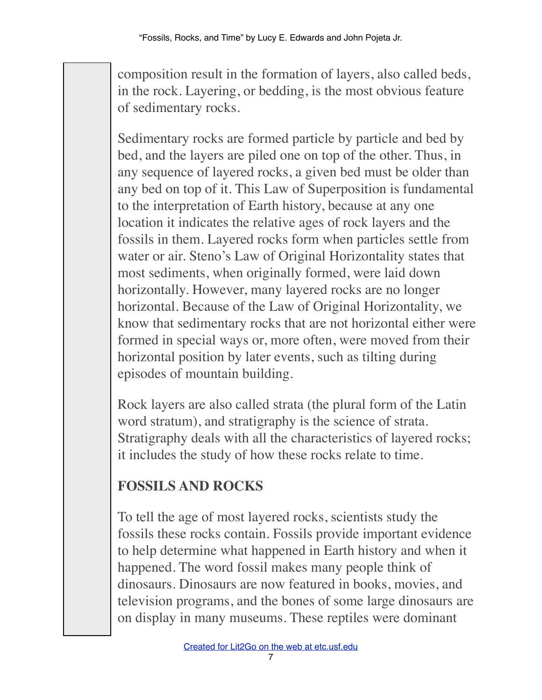composition result in the formation of layers, also called beds, in the rock. Layering, or bedding, is the most obvious feature of sedimentary rocks.

Sedimentary rocks are formed particle by particle and bed by bed, and the layers are piled one on top of the other. Thus, in any sequence of layered rocks, a given bed must be older than any bed on top of it. This Law of Superposition is fundamental to the interpretation of Earth history, because at any one location it indicates the relative ages of rock layers and the fossils in them. Layered rocks form when particles settle from water or air. Steno's Law of Original Horizontality states that most sediments, when originally formed, were laid down horizontally. However, many layered rocks are no longer horizontal. Because of the Law of Original Horizontality, we know that sedimentary rocks that are not horizontal either were formed in special ways or, more often, were moved from their horizontal position by later events, such as tilting during episodes of mountain building.

Rock layers are also called strata (the plural form of the Latin word stratum), and stratigraphy is the science of strata. Stratigraphy deals with all the characteristics of layered rocks; it includes the study of how these rocks relate to time.

### **FOSSILS AND ROCKS**

To tell the age of most layered rocks, scientists study the fossils these rocks contain. Fossils provide important evidence to help determine what happened in Earth history and when it happened. The word fossil makes many people think of dinosaurs. Dinosaurs are now featured in books, movies, and television programs, and the bones of some large dinosaurs are on display in many museums. These reptiles were dominant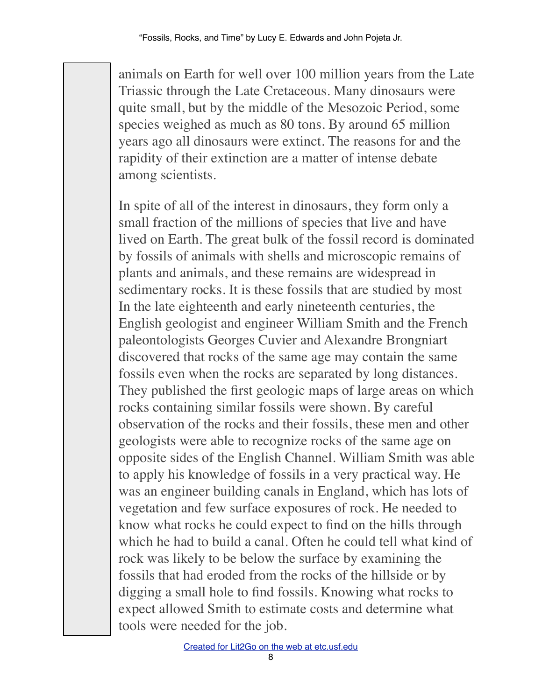animals on Earth for well over 100 million years from the Late Triassic through the Late Cretaceous. Many dinosaurs were quite small, but by the middle of the Mesozoic Period, some species weighed as much as 80 tons. By around 65 million years ago all dinosaurs were extinct. The reasons for and the rapidity of their extinction are a matter of intense debate among scientists.

In spite of all of the interest in dinosaurs, they form only a small fraction of the millions of species that live and have lived on Earth. The great bulk of the fossil record is dominated by fossils of animals with shells and microscopic remains of plants and animals, and these remains are widespread in sedimentary rocks. It is these fossils that are studied by most In the late eighteenth and early nineteenth centuries, the English geologist and engineer William Smith and the French paleontologists Georges Cuvier and Alexandre Brongniart discovered that rocks of the same age may contain the same fossils even when the rocks are separated by long distances. They published the first geologic maps of large areas on which rocks containing similar fossils were shown. By careful observation of the rocks and their fossils, these men and other geologists were able to recognize rocks of the same age on opposite sides of the English Channel. William Smith was able to apply his knowledge of fossils in a very practical way. He was an engineer building canals in England, which has lots of vegetation and few surface exposures of rock. He needed to know what rocks he could expect to find on the hills through which he had to build a canal. Often he could tell what kind of rock was likely to be below the surface by examining the fossils that had eroded from the rocks of the hillside or by digging a small hole to find fossils. Knowing what rocks to expect allowed Smith to estimate costs and determine what tools were needed for the job.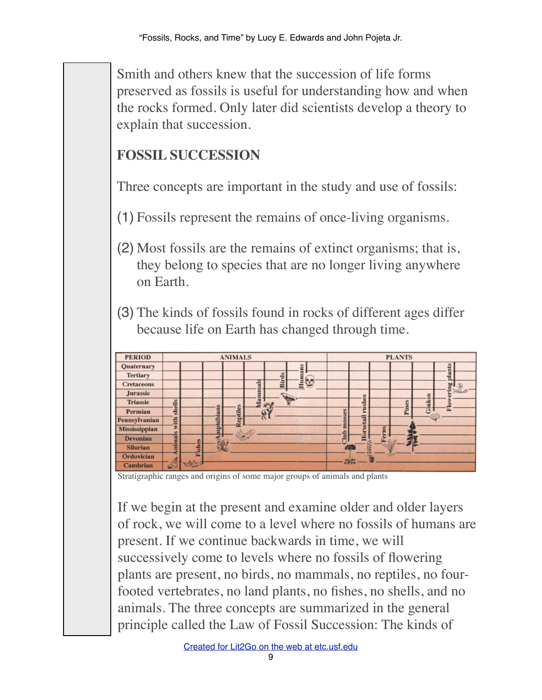Smith and others knew that the succession of life forms preserved as fossils is useful for understanding how and when the rocks formed. Only later did scientists develop a theory to explain that succession.

#### **FOSSIL SUCCESSION**

Three concepts are important in the study and use of fossils:

- (1) Fossils represent the remains of once-living organisms.
- (2) Most fossils are the remains of extinct organisms; that is, they belong to species that are no longer living anywhere on Earth.
- (3) The kinds of fossils found in rocks of different ages differ because life on Earth has changed through time.



Stratigraphic ranges and origins of some major groups of animals and plants

If we begin at the present and examine older and older layers of rock, we will come to a level where no fossils of humans are present. If we continue backwards in time, we will successively come to levels where no fossils of flowering plants are present, no birds, no mammals, no reptiles, no fourfooted vertebrates, no land plants, no fishes, no shells, and no animals. The three concepts are summarized in the general principle called the Law of Fossil Succession: The kinds of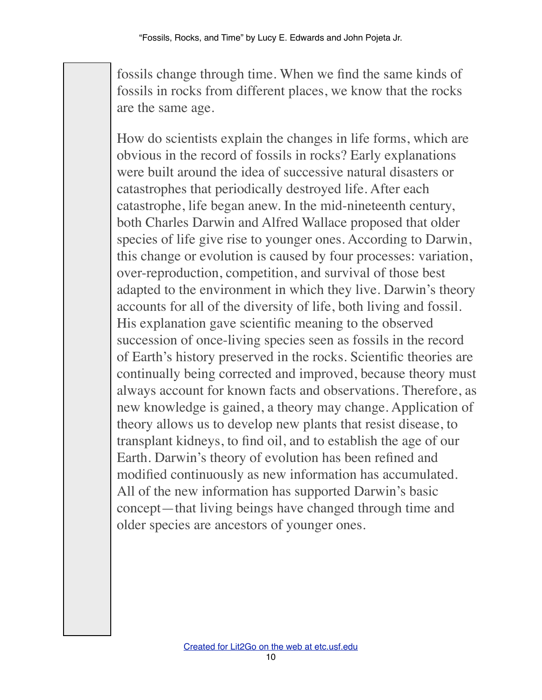fossils change through time. When we find the same kinds of fossils in rocks from different places, we know that the rocks are the same age.

How do scientists explain the changes in life forms, which are obvious in the record of fossils in rocks? Early explanations were built around the idea of successive natural disasters or catastrophes that periodically destroyed life. After each catastrophe, life began anew. In the mid-nineteenth century, both Charles Darwin and Alfred Wallace proposed that older species of life give rise to younger ones. According to Darwin, this change or evolution is caused by four processes: variation, over-reproduction, competition, and survival of those best adapted to the environment in which they live. Darwin's theory accounts for all of the diversity of life, both living and fossil. His explanation gave scientific meaning to the observed succession of once-living species seen as fossils in the record of Earth's history preserved in the rocks. Scientific theories are continually being corrected and improved, because theory must always account for known facts and observations. Therefore, as new knowledge is gained, a theory may change. Application of theory allows us to develop new plants that resist disease, to transplant kidneys, to find oil, and to establish the age of our Earth. Darwin's theory of evolution has been refined and modified continuously as new information has accumulated. All of the new information has supported Darwin's basic concept—that living beings have changed through time and older species are ancestors of younger ones.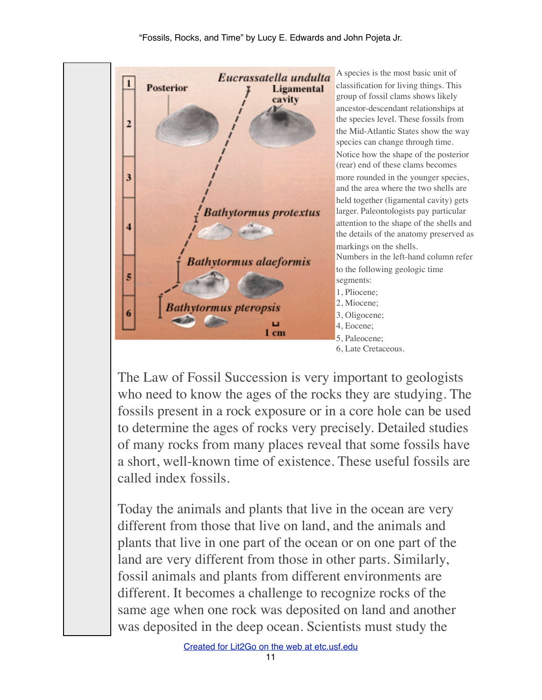

A species is the most basic unit of classification for living things. This group of fossil clams shows likely ancestor-descendant relationships at the species level. These fossils from the Mid-Atlantic States show the way species can change through time. Notice how the shape of the posterior (rear) end of these clams becomes more rounded in the younger species, and the area where the two shells are held together (ligamental cavity) gets larger. Paleontologists pay particular attention to the shape of the shells and the details of the anatomy preserved as markings on the shells. Numbers in the left-hand column refer to the following geologic time segments: 1, Pliocene; 2, Miocene; 3, Oligocene;

6, Late Cretaceous.

The Law of Fossil Succession is very important to geologists who need to know the ages of the rocks they are studying. The fossils present in a rock exposure or in a core hole can be used to determine the ages of rocks very precisely. Detailed studies of many rocks from many places reveal that some fossils have a short, well-known time of existence. These useful fossils are called index fossils.

Today the animals and plants that live in the ocean are very different from those that live on land, and the animals and plants that live in one part of the ocean or on one part of the land are very different from those in other parts. Similarly, fossil animals and plants from different environments are different. It becomes a challenge to recognize rocks of the same age when one rock was deposited on land and another was deposited in the deep ocean. Scientists must study the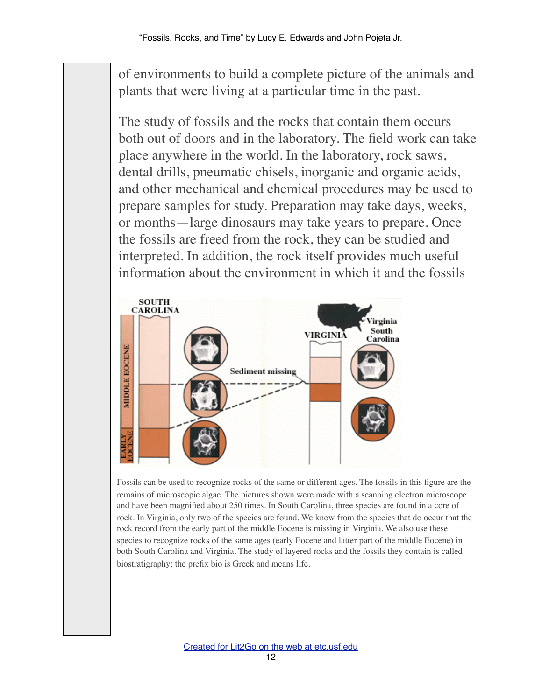of environments to build a complete picture of the animals and plants that were living at a particular time in the past.

The study of fossils and the rocks that contain them occurs both out of doors and in the laboratory. The field work can take place anywhere in the world. In the laboratory, rock saws, dental drills, pneumatic chisels, inorganic and organic acids, and other mechanical and chemical procedures may be used to prepare samples for study. Preparation may take days, weeks, or months—large dinosaurs may take years to prepare. Once the fossils are freed from the rock, they can be studied and interpreted. In addition, the rock itself provides much useful information about the environment in which it and the fossils



Fossils can be used to recognize rocks of the same or different ages. The fossils in this figure are the remains of microscopic algae. The pictures shown were made with a scanning electron microscope and have been magnified about 250 times. In South Carolina, three species are found in a core of rock. In Virginia, only two of the species are found. We know from the species that do occur that the rock record from the early part of the middle Eocene is missing in Virginia. We also use these species to recognize rocks of the same ages (early Eocene and latter part of the middle Eocene) in both South Carolina and Virginia. The study of layered rocks and the fossils they contain is called biostratigraphy; the prefix bio is Greek and means life.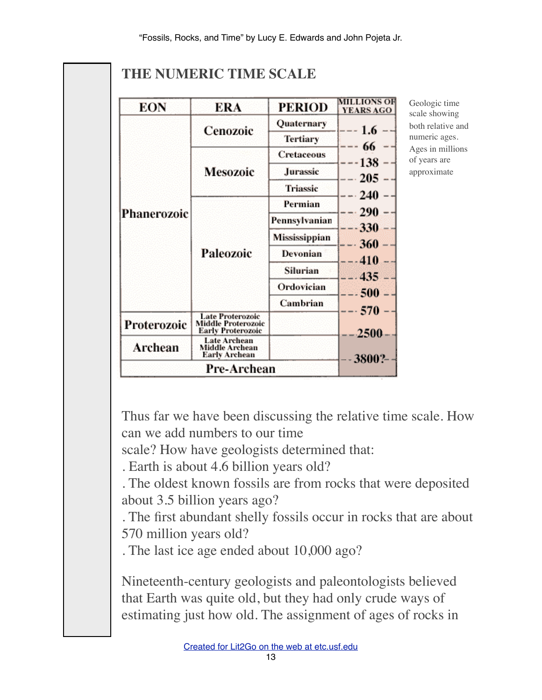| EON                | <b>ERA</b>                                                                       | <b>PERIOD</b>        | MILLIONS OF<br><b>YEARS AGO</b> |
|--------------------|----------------------------------------------------------------------------------|----------------------|---------------------------------|
| <b>Phanerozoic</b> | Cenozoic                                                                         | Quaternary           |                                 |
|                    |                                                                                  | <b>Tertiary</b>      | 1.6<br>66<br>138<br>205<br>240  |
|                    | <b>Mesozoic</b>                                                                  | <b>Cretaceous</b>    |                                 |
|                    |                                                                                  | Jurassic             |                                 |
|                    |                                                                                  | <b>Triassic</b>      |                                 |
|                    | Paleozoic                                                                        | Permian              |                                 |
|                    |                                                                                  | Pennsylvanian        | 290<br>330                      |
|                    |                                                                                  | <b>Mississippian</b> |                                 |
|                    |                                                                                  | Devonian             | 360<br>410<br>435<br>500        |
|                    |                                                                                  | <b>Silurian</b>      |                                 |
|                    |                                                                                  | Ordovician           |                                 |
|                    |                                                                                  | Cambrian             |                                 |
| Proterozoic        | <b>Late Proterozoic</b><br><b>Middle Proterozoic</b><br><b>Early Proterozoic</b> |                      | 570<br>2500                     |
| Archean            | <b>Late Archean</b><br>Middle Archean<br><b>Early Archean</b>                    |                      |                                 |
|                    | Pre-Archean                                                                      |                      | 3800?                           |

### **THE NUMERIC TIME SCALE**

Geologic time scale showing both relative and numeric ages. Ages in millions of years are approximate

Thus far we have been discussing the relative time scale. How can we add numbers to our time

scale? How have geologists determined that:

. Earth is about 4.6 billion years old?

. The oldest known fossils are from rocks that were deposited about 3.5 billion years ago?

. The first abundant shelly fossils occur in rocks that are about 570 million years old?

. The last ice age ended about 10,000 ago?

Nineteenth-century geologists and paleontologists believed that Earth was quite old, but they had only crude ways of estimating just how old. The assignment of ages of rocks in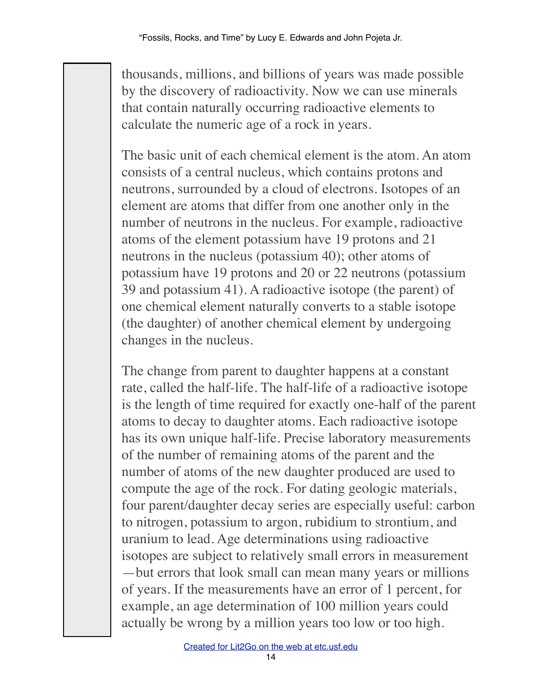thousands, millions, and billions of years was made possible by the discovery of radioactivity. Now we can use minerals that contain naturally occurring radioactive elements to calculate the numeric age of a rock in years.

The basic unit of each chemical element is the atom. An atom consists of a central nucleus, which contains protons and neutrons, surrounded by a cloud of electrons. Isotopes of an element are atoms that differ from one another only in the number of neutrons in the nucleus. For example, radioactive atoms of the element potassium have 19 protons and 21 neutrons in the nucleus (potassium 40); other atoms of potassium have 19 protons and 20 or 22 neutrons (potassium 39 and potassium 41). A radioactive isotope (the parent) of one chemical element naturally converts to a stable isotope (the daughter) of another chemical element by undergoing changes in the nucleus.

The change from parent to daughter happens at a constant rate, called the half-life. The half-life of a radioactive isotope is the length of time required for exactly one-half of the parent atoms to decay to daughter atoms. Each radioactive isotope has its own unique half-life. Precise laboratory measurements of the number of remaining atoms of the parent and the number of atoms of the new daughter produced are used to compute the age of the rock. For dating geologic materials, four parent/daughter decay series are especially useful: carbon to nitrogen, potassium to argon, rubidium to strontium, and uranium to lead. Age determinations using radioactive isotopes are subject to relatively small errors in measurement —but errors that look small can mean many years or millions of years. If the measurements have an error of 1 percent, for example, an age determination of 100 million years could actually be wrong by a million years too low or too high.